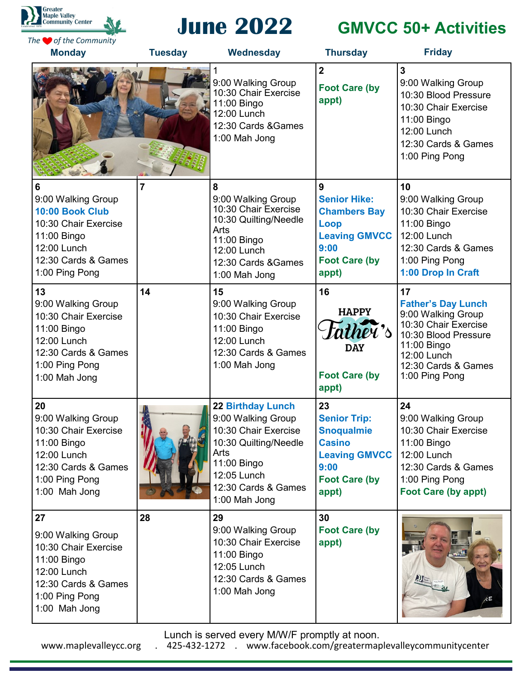



# **June 2022 GMVCC 50+ Activities**

| The <b>O</b> of the Community<br><b>Monday</b>                                                                                            | <b>Tuesday</b> | Wednesday                                                                                                                                                                     | <b>Thursday</b>                                                                                                                  | <b>Friday</b>                                                                                                                                                                |
|-------------------------------------------------------------------------------------------------------------------------------------------|----------------|-------------------------------------------------------------------------------------------------------------------------------------------------------------------------------|----------------------------------------------------------------------------------------------------------------------------------|------------------------------------------------------------------------------------------------------------------------------------------------------------------------------|
|                                                                                                                                           |                | 9:00 Walking Group<br>10:30 Chair Exercise<br>11:00 Bingo<br>12:00 Lunch<br>12:30 Cards & Games<br>1:00 Mah Jong                                                              | $\overline{2}$<br><b>Foot Care (by</b><br>appt)                                                                                  | $\overline{3}$<br>9:00 Walking Group<br>10:30 Blood Pressure<br>10:30 Chair Exercise<br>11:00 Bingo<br>12:00 Lunch<br>12:30 Cards & Games<br>1:00 Ping Pong                  |
| 6<br>9:00 Walking Group<br>10:00 Book Club<br>10:30 Chair Exercise<br>11:00 Bingo<br>12:00 Lunch<br>12:30 Cards & Games<br>1:00 Ping Pong | $\overline{7}$ | 8<br>9:00 Walking Group<br>10:30 Chair Exercise<br>10:30 Quilting/Needle<br>Arts<br>11:00 Bingo<br>12:00 Lunch<br>12:30 Cards & Games<br>1:00 Mah Jong                        | 9<br><b>Senior Hike:</b><br><b>Chambers Bay</b><br>Loop<br><b>Leaving GMVCC</b><br>9:00<br><b>Foot Care (by</b><br>appt)         | 10<br>9:00 Walking Group<br>10:30 Chair Exercise<br>11:00 Bingo<br>12:00 Lunch<br>12:30 Cards & Games<br>1:00 Ping Pong<br>1:00 Drop In Craft                                |
| 13<br>9:00 Walking Group<br>10:30 Chair Exercise<br>11:00 Bingo<br>12:00 Lunch<br>12:30 Cards & Games<br>1:00 Ping Pong<br>1:00 Mah Jong  | 14             | 15<br>9:00 Walking Group<br>10:30 Chair Exercise<br>11:00 Bingo<br>12:00 Lunch<br>12:30 Cards & Games<br>1:00 Mah Jong                                                        | 16<br><b>HAPPY</b><br>tather's<br><b>DAY</b><br><b>Foot Care (by</b><br>appt)                                                    | 17<br><b>Father's Day Lunch</b><br>9:00 Walking Group<br>10:30 Chair Exercise<br>10:30 Blood Pressure<br>11:00 Bingo<br>12:00 Lunch<br>12:30 Cards & Games<br>1:00 Ping Pong |
| 20<br>9:00 Walking Group<br>10:30 Chair Exercise<br>11:00 Bingo<br>12:00 Lunch<br>12:30 Cards & Games<br>1:00 Ping Pong<br>1:00 Mah Jong  |                | <b>22 Birthday Lunch</b><br>9:00 Walking Group<br>10:30 Chair Exercise<br>10:30 Quilting/Needle<br>Arts<br>11:00 Bingo<br>12:05 Lunch<br>12:30 Cards & Games<br>1:00 Mah Jong | 23<br><b>Senior Trip:</b><br><b>Snoqualmie</b><br><b>Casino</b><br><b>Leaving GMVCC</b><br>9:00<br><b>Foot Care (by</b><br>appt) | 24<br>9:00 Walking Group<br>10:30 Chair Exercise<br>11:00 Bingo<br>12:00 Lunch<br>12:30 Cards & Games<br>1:00 Ping Pong<br><b>Foot Care (by appt)</b>                        |
| 27<br>9:00 Walking Group<br>10:30 Chair Exercise<br>11:00 Bingo<br>12:00 Lunch<br>12:30 Cards & Games<br>1:00 Ping Pong<br>1:00 Mah Jong  | 28             | 29<br>9:00 Walking Group<br>10:30 Chair Exercise<br>11:00 Bingo<br>12:05 Lunch<br>12:30 Cards & Games<br>1:00 Mah Jong                                                        | 30<br><b>Foot Care (by</b><br>appt)                                                                                              |                                                                                                                                                                              |

Lunch is served every M/W/F promptly at noon.

www.maplevalleycc.org . 425-432-1272 . www.facebook.com/greatermaplevalleycommunitycenter